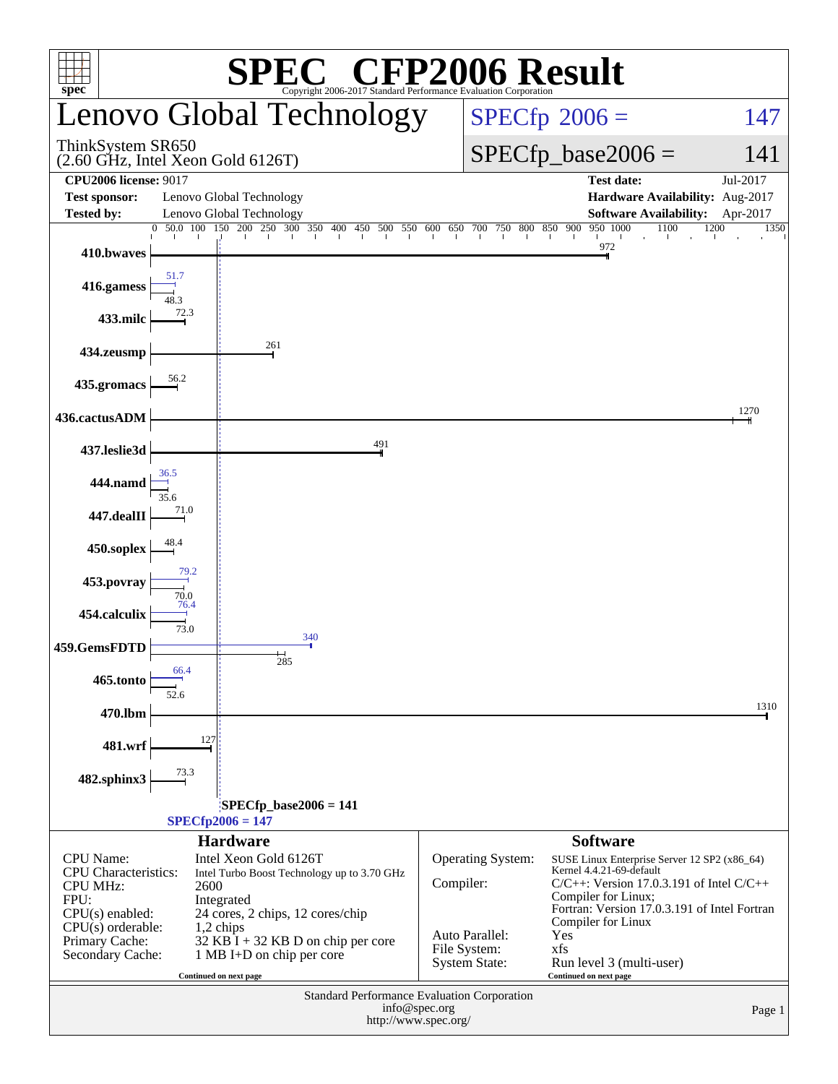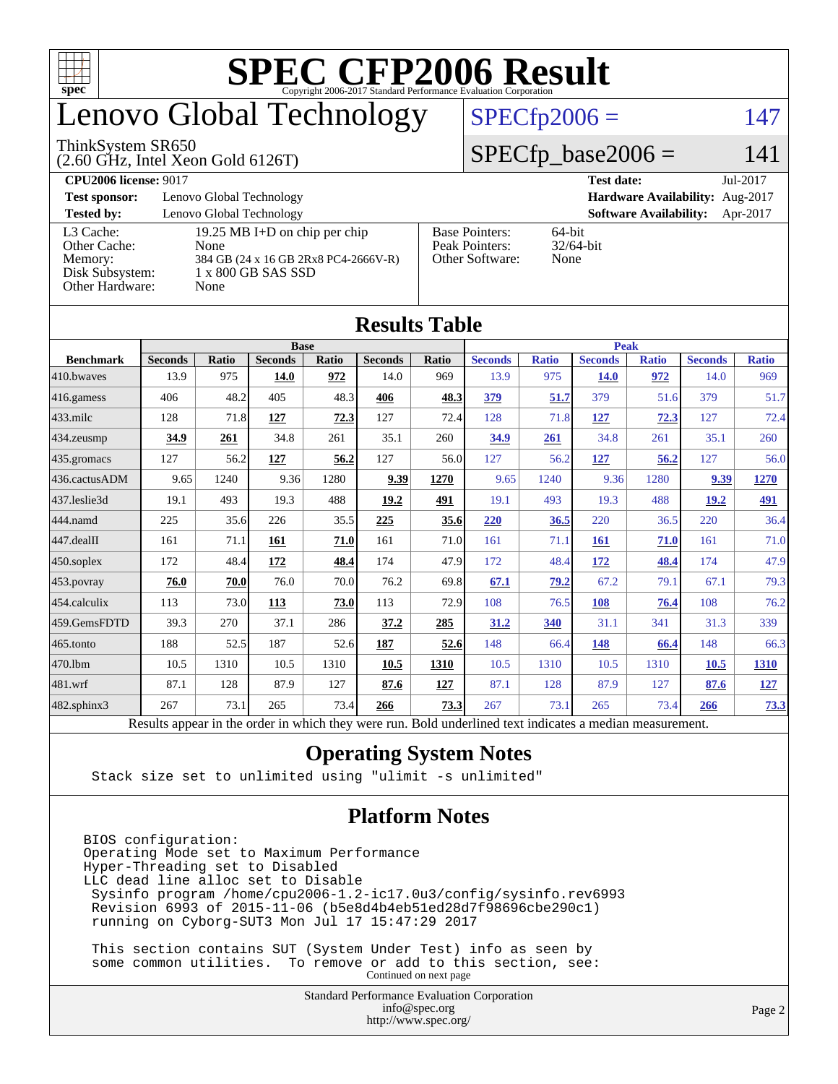

## enovo Global Technology

#### ThinkSystem SR650

(2.60 GHz, Intel Xeon Gold 6126T)

#### $SPECfp2006 = 147$  $SPECfp2006 = 147$

#### $SPECfp\_base2006 = 141$

| <b>CPU2006 license: 9017</b> |                                      |                                 | <b>Test date:</b><br>Jul-2017             |
|------------------------------|--------------------------------------|---------------------------------|-------------------------------------------|
| <b>Test sponsor:</b>         | Lenovo Global Technology             | Hardware Availability: Aug-2017 |                                           |
| <b>Tested by:</b>            | Lenovo Global Technology             |                                 | <b>Software Availability:</b><br>Apr-2017 |
| L3 Cache:                    | 19.25 MB I+D on chip per chip        | <b>Base Pointers:</b>           | 64-bit                                    |
| Other Cache:                 | None                                 | Peak Pointers:                  | $32/64$ -bit                              |
| Memory:                      | 384 GB (24 x 16 GB 2Rx8 PC4-2666V-R) | Other Software:                 | None                                      |
| Disk Subsystem:              | 1 x 800 GB SAS SSD                   |                                 |                                           |
| Other Hardware:              | None                                 |                                 |                                           |

|                   |                                                                                                          |       |                |       | Results Table  |             |                |              |                |              |                |              |
|-------------------|----------------------------------------------------------------------------------------------------------|-------|----------------|-------|----------------|-------------|----------------|--------------|----------------|--------------|----------------|--------------|
|                   | <b>Base</b>                                                                                              |       |                |       |                | <b>Peak</b> |                |              |                |              |                |              |
| <b>Benchmark</b>  | <b>Seconds</b>                                                                                           | Ratio | <b>Seconds</b> | Ratio | <b>Seconds</b> | Ratio       | <b>Seconds</b> | <b>Ratio</b> | <b>Seconds</b> | <b>Ratio</b> | <b>Seconds</b> | <b>Ratio</b> |
| 410.bwayes        | 13.9                                                                                                     | 975   | 14.0           | 972   | 14.0           | 969         | 13.9           | 975          | <b>14.0</b>    | 972          | 14.0           | 969          |
| 416.gamess        | 406                                                                                                      | 48.2  | 405            | 48.3  | 406            | 48.3        | 379            | 51.7         | 379            | 51.6         | 379            | 51.7         |
| $433$ .milc       | 128                                                                                                      | 71.8  | 127            | 72.3  | 127            | 72.4        | 128            | 71.8         | 127            | 72.3         | 127            | 72.4         |
| 434.zeusmp        | 34.9                                                                                                     | 261   | 34.8           | 261   | 35.1           | 260         | <u>34.9</u>    | 261          | 34.8           | 261          | 35.1           | 260          |
| 435 gromacs       | 127                                                                                                      | 56.2  | 127            | 56.2  | 127            | 56.0        | 127            | 56.2         | 127            | 56.2         | 127            | 56.0         |
| 436.cactusADM     | 9.65                                                                                                     | 1240  | 9.36           | 1280  | 9.39           | 1270        | 9.65           | 1240         | 9.36           | 1280         | 9.39           | 1270         |
| 437.leslie3d      | 19.1                                                                                                     | 493   | 19.3           | 488   | 19.2           | 491         | 19.1           | 493          | 19.3           | 488          | 19.2           | 491          |
| 444.namd          | 225                                                                                                      | 35.6  | 226            | 35.5  | 225            | 35.6        | 220            | 36.5         | 220            | 36.5         | 220            | 36.4         |
| 447.dealII        | 161                                                                                                      | 71.1  | 161            | 71.0  | 161            | 71.0        | 161            | 71.1         | <b>161</b>     | 71.0         | 161            | 71.0         |
| $450$ .soplex     | 172                                                                                                      | 48.4  | 172            | 48.4  | 174            | 47.9        | 172            | 48.4         | 172            | 48.4         | 174            | 47.9         |
| 453.povray        | 76.0                                                                                                     | 70.0  | 76.0           | 70.0  | 76.2           | 69.8        | 67.1           | 79.2         | 67.2           | 79.1         | 67.1           | 79.3         |
| 454.calculix      | 113                                                                                                      | 73.0  | 113            | 73.0  | 113            | 72.9        | 108            | 76.5         | 108            | 76.4         | 108            | 76.2         |
| 459.GemsFDTD      | 39.3                                                                                                     | 270   | 37.1           | 286   | 37.2           | 285         | 31.2           | 340          | 31.1           | 341          | 31.3           | 339          |
| $465$ .tonto      | 188                                                                                                      | 52.5  | 187            | 52.6  | 187            | 52.6        | 148            | 66.4         | 148            | 66.4         | 148            | 66.3         |
| 470.1bm           | 10.5                                                                                                     | 1310  | 10.5           | 1310  | 10.5           | 1310        | 10.5           | 1310         | 10.5           | 1310         | 10.5           | <b>1310</b>  |
| 481.wrf           | 87.1                                                                                                     | 128   | 87.9           | 127   | 87.6           | 127         | 87.1           | 128          | 87.9           | 127          | 87.6           | <u>127</u>   |
| $482$ .sphinx $3$ | 267                                                                                                      | 73.1  | 265            | 73.4  | 266            | 73.3        | 267            | 73.1         | 265            | 73.4         | 266            | 73.3         |
|                   | Results appear in the order in which they were run. Bold underlined text indicates a median measurement. |       |                |       |                |             |                |              |                |              |                |              |

#### **[Results Table](http://www.spec.org/auto/cpu2006/Docs/result-fields.html#ResultsTable)**

#### **[Operating System Notes](http://www.spec.org/auto/cpu2006/Docs/result-fields.html#OperatingSystemNotes)**

Stack size set to unlimited using "ulimit -s unlimited"

#### **[Platform Notes](http://www.spec.org/auto/cpu2006/Docs/result-fields.html#PlatformNotes)**

BIOS configuration: Operating Mode set to Maximum Performance Hyper-Threading set to Disabled LLC dead line alloc set to Disable Sysinfo program /home/cpu2006-1.2-ic17.0u3/config/sysinfo.rev6993 Revision 6993 of 2015-11-06 (b5e8d4b4eb51ed28d7f98696cbe290c1) running on Cyborg-SUT3 Mon Jul 17 15:47:29 2017

 This section contains SUT (System Under Test) info as seen by some common utilities. To remove or add to this section, see: Continued on next page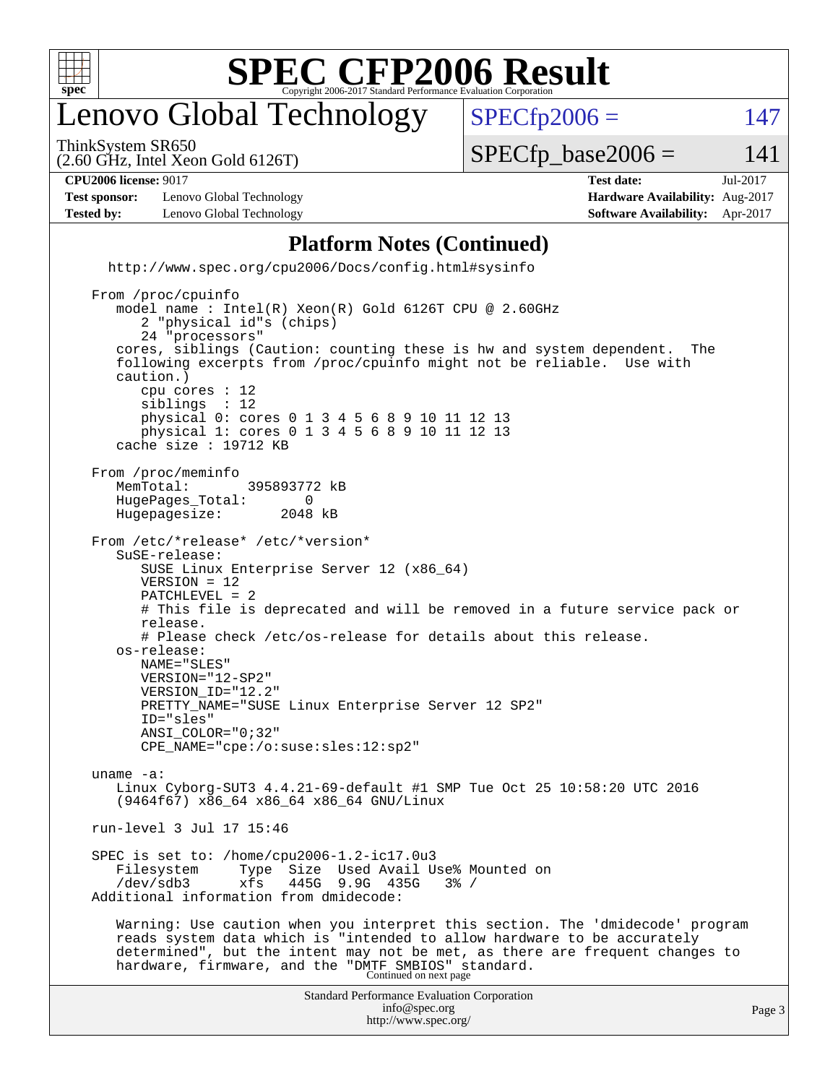

## enovo Global Technology

ThinkSystem SR650

 $SPECTp2006 = 147$ 

(2.60 GHz, Intel Xeon Gold 6126T)

 $SPECTp\_base2006 = 141$ 

| <b>CPU2006 license: 9017</b> | l'est date: | Jul-2017 |
|------------------------------|-------------|----------|
|                              |             |          |

**[Test sponsor:](http://www.spec.org/auto/cpu2006/Docs/result-fields.html#Testsponsor)** Lenovo Global Technology **[Hardware Availability:](http://www.spec.org/auto/cpu2006/Docs/result-fields.html#HardwareAvailability)** Aug-2017 **[Tested by:](http://www.spec.org/auto/cpu2006/Docs/result-fields.html#Testedby)** Lenovo Global Technology **[Software Availability:](http://www.spec.org/auto/cpu2006/Docs/result-fields.html#SoftwareAvailability)** Apr-2017

#### **[Platform Notes \(Continued\)](http://www.spec.org/auto/cpu2006/Docs/result-fields.html#PlatformNotes)**

<http://www.spec.org/cpu2006/Docs/config.html#sysinfo>

Standard Performance Evaluation Corporation [info@spec.org](mailto:info@spec.org) From /proc/cpuinfo model name : Intel(R) Xeon(R) Gold 6126T CPU @ 2.60GHz 2 "physical id"s (chips) 24 "processors" cores, siblings (Caution: counting these is hw and system dependent. The following excerpts from /proc/cpuinfo might not be reliable. Use with caution.) cpu cores : 12 siblings : 12 physical 0: cores 0 1 3 4 5 6 8 9 10 11 12 13 physical 1: cores 0 1 3 4 5 6 8 9 10 11 12 13 cache size : 19712 KB From /proc/meminfo<br>MemTotal: 395893772 kB HugePages\_Total: 0<br>Hugepagesize: 2048 kB Hugepagesize: From /etc/\*release\* /etc/\*version\* SuSE-release: SUSE Linux Enterprise Server 12 (x86\_64) VERSION = 12 PATCHLEVEL = 2 # This file is deprecated and will be removed in a future service pack or release. # Please check /etc/os-release for details about this release. os-release: NAME="SLES" VERSION="12-SP2" VERSION\_ID="12.2" PRETTY\_NAME="SUSE Linux Enterprise Server 12 SP2" ID="sles" ANSI\_COLOR="0;32" CPE\_NAME="cpe:/o:suse:sles:12:sp2" uname -a: Linux Cyborg-SUT3 4.4.21-69-default #1 SMP Tue Oct 25 10:58:20 UTC 2016 (9464f67) x86\_64 x86\_64 x86\_64 GNU/Linux run-level 3 Jul 17 15:46 SPEC is set to: /home/cpu2006-1.2-ic17.0u3 Filesystem Type Size Used Avail Use% Mounted on /dev/sdb3 xfs 445G 9.9G 435G 3% / Additional information from dmidecode: Warning: Use caution when you interpret this section. The 'dmidecode' program reads system data which is "intended to allow hardware to be accurately determined", but the intent may not be met, as there are frequent changes to hardware, firmware, and the "DMTF SMBIOS" standard.<br>Continued on next page

<http://www.spec.org/>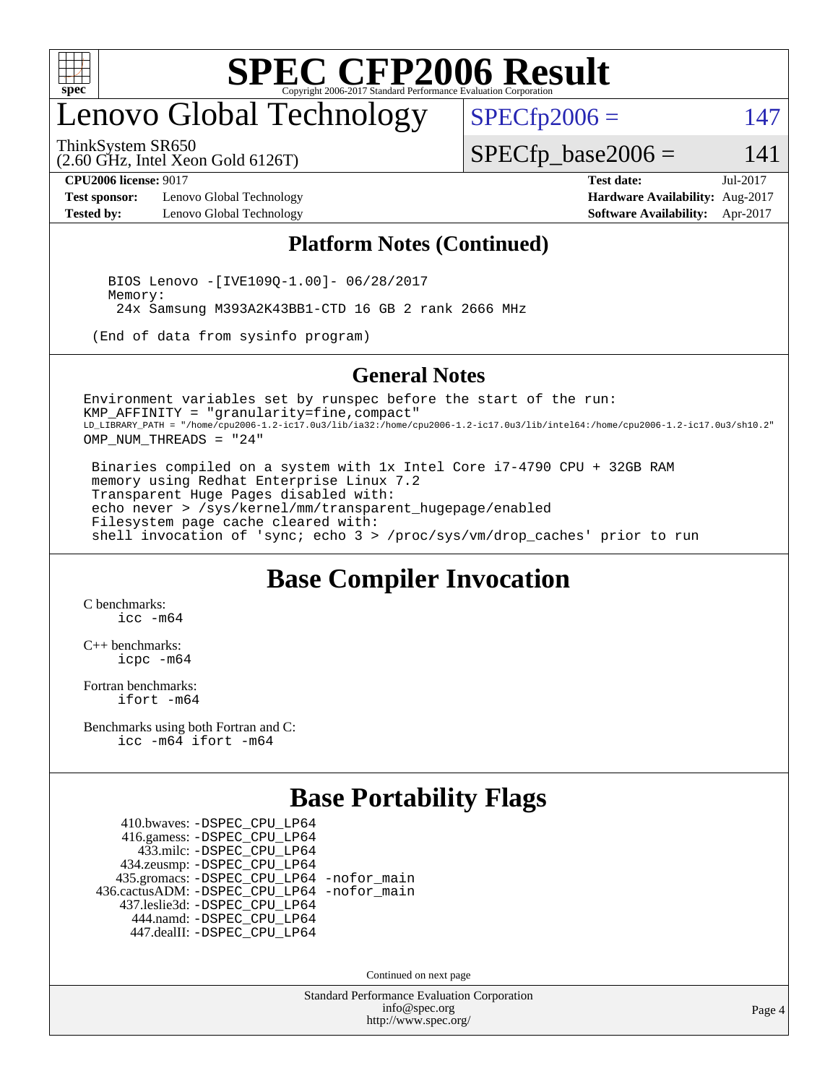

## enovo Global Technology

ThinkSystem SR650

 $SPECfp2006 = 147$  $SPECfp2006 = 147$ 

(2.60 GHz, Intel Xeon Gold 6126T)

 $SPECTp\_base2006 = 141$ 

**[Test sponsor:](http://www.spec.org/auto/cpu2006/Docs/result-fields.html#Testsponsor)** Lenovo Global Technology **[Hardware Availability:](http://www.spec.org/auto/cpu2006/Docs/result-fields.html#HardwareAvailability)** Aug-2017 **[Tested by:](http://www.spec.org/auto/cpu2006/Docs/result-fields.html#Testedby)** Lenovo Global Technology **[Software Availability:](http://www.spec.org/auto/cpu2006/Docs/result-fields.html#SoftwareAvailability)** Apr-2017

**[CPU2006 license:](http://www.spec.org/auto/cpu2006/Docs/result-fields.html#CPU2006license)** 9017 **[Test date:](http://www.spec.org/auto/cpu2006/Docs/result-fields.html#Testdate)** Jul-2017

#### **[Platform Notes \(Continued\)](http://www.spec.org/auto/cpu2006/Docs/result-fields.html#PlatformNotes)**

 BIOS Lenovo -[IVE109Q-1.00]- 06/28/2017 Memory: 24x Samsung M393A2K43BB1-CTD 16 GB 2 rank 2666 MHz

(End of data from sysinfo program)

#### **[General Notes](http://www.spec.org/auto/cpu2006/Docs/result-fields.html#GeneralNotes)**

Environment variables set by runspec before the start of the run: KMP\_AFFINITY = "granularity=fine,compact" LD\_LIBRARY\_PATH = "/home/cpu2006-1.2-ic17.0u3/lib/ia32:/home/cpu2006-1.2-ic17.0u3/lib/intel64:/home/cpu2006-1.2-ic17.0u3/sh10.2" OMP\_NUM\_THREADS = "24"

 Binaries compiled on a system with 1x Intel Core i7-4790 CPU + 32GB RAM memory using Redhat Enterprise Linux 7.2 Transparent Huge Pages disabled with: echo never > /sys/kernel/mm/transparent\_hugepage/enabled Filesystem page cache cleared with: shell invocation of 'sync; echo 3 > /proc/sys/vm/drop\_caches' prior to run

#### **[Base Compiler Invocation](http://www.spec.org/auto/cpu2006/Docs/result-fields.html#BaseCompilerInvocation)**

[C benchmarks](http://www.spec.org/auto/cpu2006/Docs/result-fields.html#Cbenchmarks): [icc -m64](http://www.spec.org/cpu2006/results/res2017q4/cpu2006-20170918-49712.flags.html#user_CCbase_intel_icc_64bit_bda6cc9af1fdbb0edc3795bac97ada53)

[C++ benchmarks:](http://www.spec.org/auto/cpu2006/Docs/result-fields.html#CXXbenchmarks) [icpc -m64](http://www.spec.org/cpu2006/results/res2017q4/cpu2006-20170918-49712.flags.html#user_CXXbase_intel_icpc_64bit_fc66a5337ce925472a5c54ad6a0de310)

[Fortran benchmarks](http://www.spec.org/auto/cpu2006/Docs/result-fields.html#Fortranbenchmarks): [ifort -m64](http://www.spec.org/cpu2006/results/res2017q4/cpu2006-20170918-49712.flags.html#user_FCbase_intel_ifort_64bit_ee9d0fb25645d0210d97eb0527dcc06e)

[Benchmarks using both Fortran and C](http://www.spec.org/auto/cpu2006/Docs/result-fields.html#BenchmarksusingbothFortranandC): [icc -m64](http://www.spec.org/cpu2006/results/res2017q4/cpu2006-20170918-49712.flags.html#user_CC_FCbase_intel_icc_64bit_bda6cc9af1fdbb0edc3795bac97ada53) [ifort -m64](http://www.spec.org/cpu2006/results/res2017q4/cpu2006-20170918-49712.flags.html#user_CC_FCbase_intel_ifort_64bit_ee9d0fb25645d0210d97eb0527dcc06e)

#### **[Base Portability Flags](http://www.spec.org/auto/cpu2006/Docs/result-fields.html#BasePortabilityFlags)**

 410.bwaves: [-DSPEC\\_CPU\\_LP64](http://www.spec.org/cpu2006/results/res2017q4/cpu2006-20170918-49712.flags.html#suite_basePORTABILITY410_bwaves_DSPEC_CPU_LP64) 416.gamess: [-DSPEC\\_CPU\\_LP64](http://www.spec.org/cpu2006/results/res2017q4/cpu2006-20170918-49712.flags.html#suite_basePORTABILITY416_gamess_DSPEC_CPU_LP64) 433.milc: [-DSPEC\\_CPU\\_LP64](http://www.spec.org/cpu2006/results/res2017q4/cpu2006-20170918-49712.flags.html#suite_basePORTABILITY433_milc_DSPEC_CPU_LP64) 434.zeusmp: [-DSPEC\\_CPU\\_LP64](http://www.spec.org/cpu2006/results/res2017q4/cpu2006-20170918-49712.flags.html#suite_basePORTABILITY434_zeusmp_DSPEC_CPU_LP64) 435.gromacs: [-DSPEC\\_CPU\\_LP64](http://www.spec.org/cpu2006/results/res2017q4/cpu2006-20170918-49712.flags.html#suite_basePORTABILITY435_gromacs_DSPEC_CPU_LP64) [-nofor\\_main](http://www.spec.org/cpu2006/results/res2017q4/cpu2006-20170918-49712.flags.html#user_baseLDPORTABILITY435_gromacs_f-nofor_main) 436.cactusADM: [-DSPEC\\_CPU\\_LP64](http://www.spec.org/cpu2006/results/res2017q4/cpu2006-20170918-49712.flags.html#suite_basePORTABILITY436_cactusADM_DSPEC_CPU_LP64) [-nofor\\_main](http://www.spec.org/cpu2006/results/res2017q4/cpu2006-20170918-49712.flags.html#user_baseLDPORTABILITY436_cactusADM_f-nofor_main) 437.leslie3d: [-DSPEC\\_CPU\\_LP64](http://www.spec.org/cpu2006/results/res2017q4/cpu2006-20170918-49712.flags.html#suite_basePORTABILITY437_leslie3d_DSPEC_CPU_LP64) 444.namd: [-DSPEC\\_CPU\\_LP64](http://www.spec.org/cpu2006/results/res2017q4/cpu2006-20170918-49712.flags.html#suite_basePORTABILITY444_namd_DSPEC_CPU_LP64) 447.dealII: [-DSPEC\\_CPU\\_LP64](http://www.spec.org/cpu2006/results/res2017q4/cpu2006-20170918-49712.flags.html#suite_basePORTABILITY447_dealII_DSPEC_CPU_LP64)

Continued on next page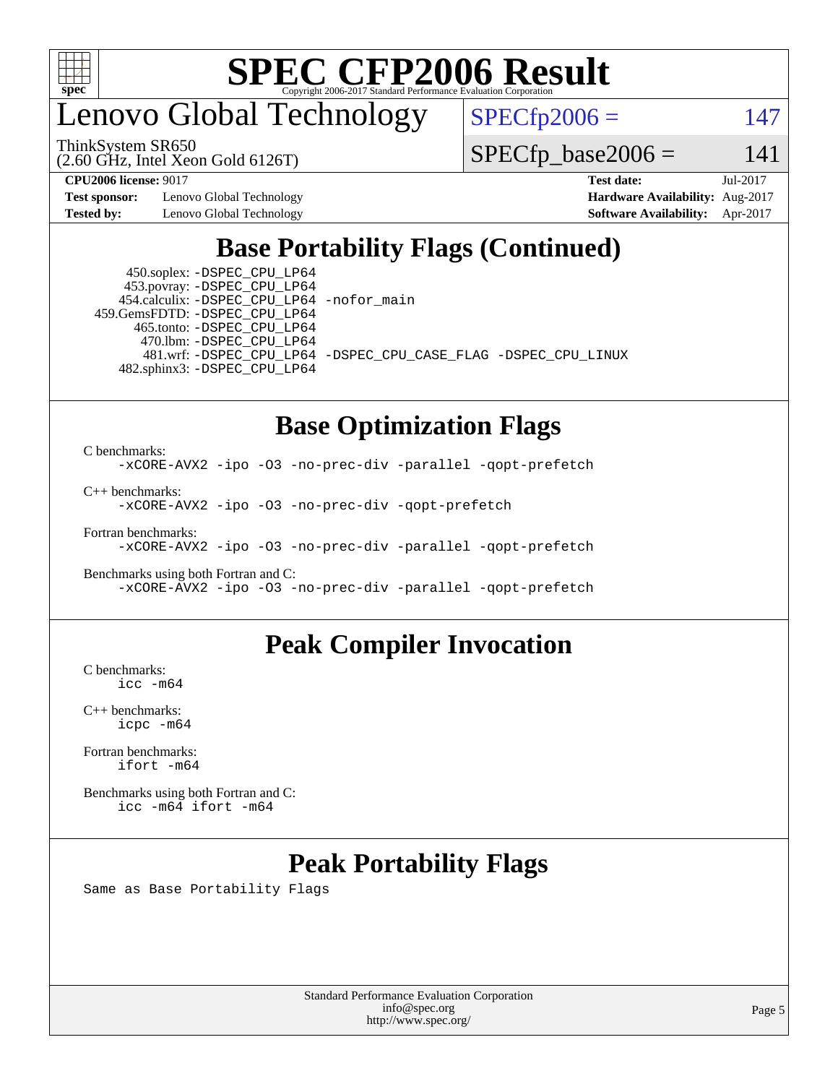

## enovo Global Technology

ThinkSystem SR650

 $SPECfp2006 = 147$  $SPECfp2006 = 147$ 

(2.60 GHz, Intel Xeon Gold 6126T)

 $SPECTp\_base2006 = 141$ 

**[Test sponsor:](http://www.spec.org/auto/cpu2006/Docs/result-fields.html#Testsponsor)** Lenovo Global Technology **[Hardware Availability:](http://www.spec.org/auto/cpu2006/Docs/result-fields.html#HardwareAvailability)** Aug-2017 **[Tested by:](http://www.spec.org/auto/cpu2006/Docs/result-fields.html#Testedby)** Lenovo Global Technology **[Software Availability:](http://www.spec.org/auto/cpu2006/Docs/result-fields.html#SoftwareAvailability)** Apr-2017

**[CPU2006 license:](http://www.spec.org/auto/cpu2006/Docs/result-fields.html#CPU2006license)** 9017 **[Test date:](http://www.spec.org/auto/cpu2006/Docs/result-fields.html#Testdate)** Jul-2017

### **[Base Portability Flags \(Continued\)](http://www.spec.org/auto/cpu2006/Docs/result-fields.html#BasePortabilityFlags)**

 450.soplex: [-DSPEC\\_CPU\\_LP64](http://www.spec.org/cpu2006/results/res2017q4/cpu2006-20170918-49712.flags.html#suite_basePORTABILITY450_soplex_DSPEC_CPU_LP64) 453.povray: [-DSPEC\\_CPU\\_LP64](http://www.spec.org/cpu2006/results/res2017q4/cpu2006-20170918-49712.flags.html#suite_basePORTABILITY453_povray_DSPEC_CPU_LP64) 454.calculix: [-DSPEC\\_CPU\\_LP64](http://www.spec.org/cpu2006/results/res2017q4/cpu2006-20170918-49712.flags.html#suite_basePORTABILITY454_calculix_DSPEC_CPU_LP64) [-nofor\\_main](http://www.spec.org/cpu2006/results/res2017q4/cpu2006-20170918-49712.flags.html#user_baseLDPORTABILITY454_calculix_f-nofor_main) 459.GemsFDTD: [-DSPEC\\_CPU\\_LP64](http://www.spec.org/cpu2006/results/res2017q4/cpu2006-20170918-49712.flags.html#suite_basePORTABILITY459_GemsFDTD_DSPEC_CPU_LP64) 465.tonto: [-DSPEC\\_CPU\\_LP64](http://www.spec.org/cpu2006/results/res2017q4/cpu2006-20170918-49712.flags.html#suite_basePORTABILITY465_tonto_DSPEC_CPU_LP64) 470.lbm: [-DSPEC\\_CPU\\_LP64](http://www.spec.org/cpu2006/results/res2017q4/cpu2006-20170918-49712.flags.html#suite_basePORTABILITY470_lbm_DSPEC_CPU_LP64) 482.sphinx3: [-DSPEC\\_CPU\\_LP64](http://www.spec.org/cpu2006/results/res2017q4/cpu2006-20170918-49712.flags.html#suite_basePORTABILITY482_sphinx3_DSPEC_CPU_LP64)

481.wrf: [-DSPEC\\_CPU\\_LP64](http://www.spec.org/cpu2006/results/res2017q4/cpu2006-20170918-49712.flags.html#suite_basePORTABILITY481_wrf_DSPEC_CPU_LP64) [-DSPEC\\_CPU\\_CASE\\_FLAG](http://www.spec.org/cpu2006/results/res2017q4/cpu2006-20170918-49712.flags.html#b481.wrf_baseCPORTABILITY_DSPEC_CPU_CASE_FLAG) [-DSPEC\\_CPU\\_LINUX](http://www.spec.org/cpu2006/results/res2017q4/cpu2006-20170918-49712.flags.html#b481.wrf_baseCPORTABILITY_DSPEC_CPU_LINUX)

#### **[Base Optimization Flags](http://www.spec.org/auto/cpu2006/Docs/result-fields.html#BaseOptimizationFlags)**

[C benchmarks](http://www.spec.org/auto/cpu2006/Docs/result-fields.html#Cbenchmarks): [-xCORE-AVX2](http://www.spec.org/cpu2006/results/res2017q4/cpu2006-20170918-49712.flags.html#user_CCbase_f-xCORE-AVX2) [-ipo](http://www.spec.org/cpu2006/results/res2017q4/cpu2006-20170918-49712.flags.html#user_CCbase_f-ipo) [-O3](http://www.spec.org/cpu2006/results/res2017q4/cpu2006-20170918-49712.flags.html#user_CCbase_f-O3) [-no-prec-div](http://www.spec.org/cpu2006/results/res2017q4/cpu2006-20170918-49712.flags.html#user_CCbase_f-no-prec-div) [-parallel](http://www.spec.org/cpu2006/results/res2017q4/cpu2006-20170918-49712.flags.html#user_CCbase_f-parallel) [-qopt-prefetch](http://www.spec.org/cpu2006/results/res2017q4/cpu2006-20170918-49712.flags.html#user_CCbase_f-qopt-prefetch)

[C++ benchmarks:](http://www.spec.org/auto/cpu2006/Docs/result-fields.html#CXXbenchmarks)

[-xCORE-AVX2](http://www.spec.org/cpu2006/results/res2017q4/cpu2006-20170918-49712.flags.html#user_CXXbase_f-xCORE-AVX2) [-ipo](http://www.spec.org/cpu2006/results/res2017q4/cpu2006-20170918-49712.flags.html#user_CXXbase_f-ipo) [-O3](http://www.spec.org/cpu2006/results/res2017q4/cpu2006-20170918-49712.flags.html#user_CXXbase_f-O3) [-no-prec-div](http://www.spec.org/cpu2006/results/res2017q4/cpu2006-20170918-49712.flags.html#user_CXXbase_f-no-prec-div) [-qopt-prefetch](http://www.spec.org/cpu2006/results/res2017q4/cpu2006-20170918-49712.flags.html#user_CXXbase_f-qopt-prefetch)

[Fortran benchmarks](http://www.spec.org/auto/cpu2006/Docs/result-fields.html#Fortranbenchmarks):

[-xCORE-AVX2](http://www.spec.org/cpu2006/results/res2017q4/cpu2006-20170918-49712.flags.html#user_FCbase_f-xCORE-AVX2) [-ipo](http://www.spec.org/cpu2006/results/res2017q4/cpu2006-20170918-49712.flags.html#user_FCbase_f-ipo) [-O3](http://www.spec.org/cpu2006/results/res2017q4/cpu2006-20170918-49712.flags.html#user_FCbase_f-O3) [-no-prec-div](http://www.spec.org/cpu2006/results/res2017q4/cpu2006-20170918-49712.flags.html#user_FCbase_f-no-prec-div) [-parallel](http://www.spec.org/cpu2006/results/res2017q4/cpu2006-20170918-49712.flags.html#user_FCbase_f-parallel) [-qopt-prefetch](http://www.spec.org/cpu2006/results/res2017q4/cpu2006-20170918-49712.flags.html#user_FCbase_f-qopt-prefetch)

[Benchmarks using both Fortran and C](http://www.spec.org/auto/cpu2006/Docs/result-fields.html#BenchmarksusingbothFortranandC): [-xCORE-AVX2](http://www.spec.org/cpu2006/results/res2017q4/cpu2006-20170918-49712.flags.html#user_CC_FCbase_f-xCORE-AVX2) [-ipo](http://www.spec.org/cpu2006/results/res2017q4/cpu2006-20170918-49712.flags.html#user_CC_FCbase_f-ipo) [-O3](http://www.spec.org/cpu2006/results/res2017q4/cpu2006-20170918-49712.flags.html#user_CC_FCbase_f-O3) [-no-prec-div](http://www.spec.org/cpu2006/results/res2017q4/cpu2006-20170918-49712.flags.html#user_CC_FCbase_f-no-prec-div) [-parallel](http://www.spec.org/cpu2006/results/res2017q4/cpu2006-20170918-49712.flags.html#user_CC_FCbase_f-parallel) [-qopt-prefetch](http://www.spec.org/cpu2006/results/res2017q4/cpu2006-20170918-49712.flags.html#user_CC_FCbase_f-qopt-prefetch)

#### **[Peak Compiler Invocation](http://www.spec.org/auto/cpu2006/Docs/result-fields.html#PeakCompilerInvocation)**

[C benchmarks](http://www.spec.org/auto/cpu2006/Docs/result-fields.html#Cbenchmarks): [icc -m64](http://www.spec.org/cpu2006/results/res2017q4/cpu2006-20170918-49712.flags.html#user_CCpeak_intel_icc_64bit_bda6cc9af1fdbb0edc3795bac97ada53)

[C++ benchmarks:](http://www.spec.org/auto/cpu2006/Docs/result-fields.html#CXXbenchmarks) [icpc -m64](http://www.spec.org/cpu2006/results/res2017q4/cpu2006-20170918-49712.flags.html#user_CXXpeak_intel_icpc_64bit_fc66a5337ce925472a5c54ad6a0de310)

[Fortran benchmarks](http://www.spec.org/auto/cpu2006/Docs/result-fields.html#Fortranbenchmarks): [ifort -m64](http://www.spec.org/cpu2006/results/res2017q4/cpu2006-20170918-49712.flags.html#user_FCpeak_intel_ifort_64bit_ee9d0fb25645d0210d97eb0527dcc06e)

[Benchmarks using both Fortran and C](http://www.spec.org/auto/cpu2006/Docs/result-fields.html#BenchmarksusingbothFortranandC): [icc -m64](http://www.spec.org/cpu2006/results/res2017q4/cpu2006-20170918-49712.flags.html#user_CC_FCpeak_intel_icc_64bit_bda6cc9af1fdbb0edc3795bac97ada53) [ifort -m64](http://www.spec.org/cpu2006/results/res2017q4/cpu2006-20170918-49712.flags.html#user_CC_FCpeak_intel_ifort_64bit_ee9d0fb25645d0210d97eb0527dcc06e)

#### **[Peak Portability Flags](http://www.spec.org/auto/cpu2006/Docs/result-fields.html#PeakPortabilityFlags)**

Same as Base Portability Flags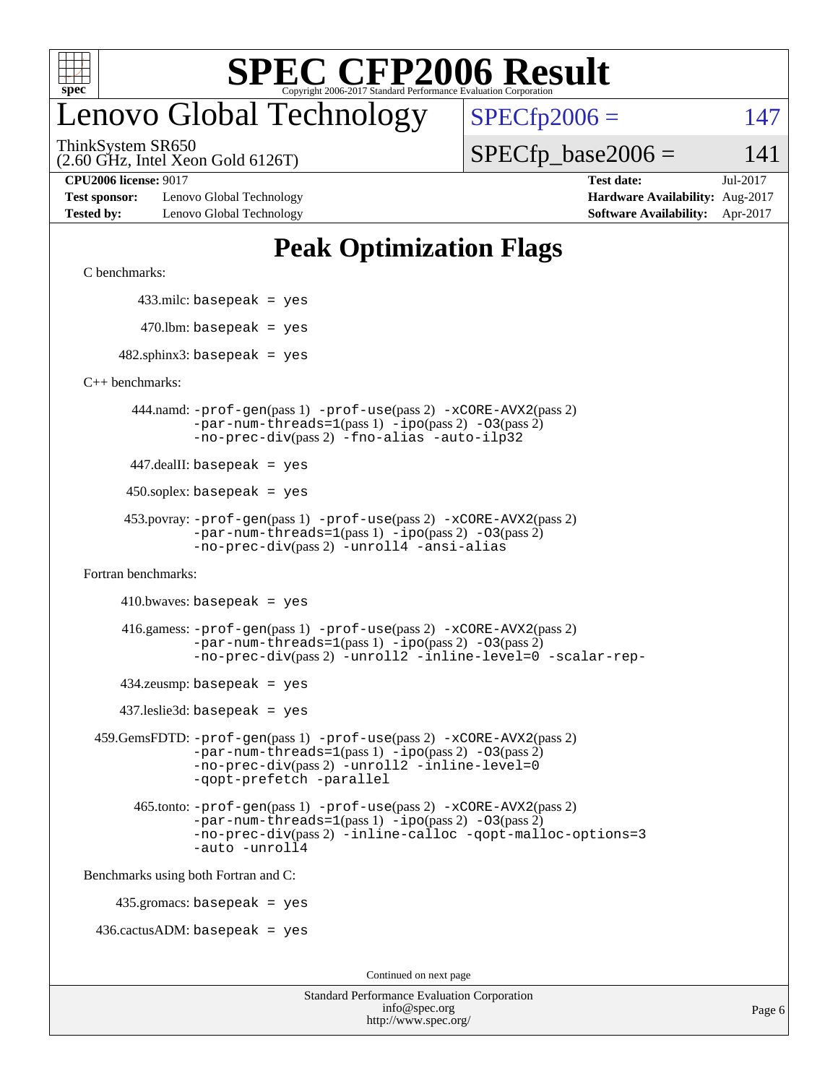

## enovo Global Technology

 $SPECfp2006 = 147$  $SPECfp2006 = 147$ 

(2.60 GHz, Intel Xeon Gold 6126T) ThinkSystem SR650

 $SPECTp\_base2006 = 141$ 

**[Test sponsor:](http://www.spec.org/auto/cpu2006/Docs/result-fields.html#Testsponsor)** Lenovo Global Technology **[Hardware Availability:](http://www.spec.org/auto/cpu2006/Docs/result-fields.html#HardwareAvailability)** Aug-2017 **[Tested by:](http://www.spec.org/auto/cpu2006/Docs/result-fields.html#Testedby)** Lenovo Global Technology **[Software Availability:](http://www.spec.org/auto/cpu2006/Docs/result-fields.html#SoftwareAvailability)** Apr-2017

**[CPU2006 license:](http://www.spec.org/auto/cpu2006/Docs/result-fields.html#CPU2006license)** 9017 **[Test date:](http://www.spec.org/auto/cpu2006/Docs/result-fields.html#Testdate)** Jul-2017

#### **[Peak Optimization Flags](http://www.spec.org/auto/cpu2006/Docs/result-fields.html#PeakOptimizationFlags)**

[C benchmarks](http://www.spec.org/auto/cpu2006/Docs/result-fields.html#Cbenchmarks):

433.milc: basepeak = yes

 $470$ .lbm: basepeak = yes

 $482$ .sphinx3: basepeak = yes

[C++ benchmarks:](http://www.spec.org/auto/cpu2006/Docs/result-fields.html#CXXbenchmarks)

 444.namd: [-prof-gen](http://www.spec.org/cpu2006/results/res2017q4/cpu2006-20170918-49712.flags.html#user_peakPASS1_CXXFLAGSPASS1_LDFLAGS444_namd_prof_gen_e43856698f6ca7b7e442dfd80e94a8fc)(pass 1) [-prof-use](http://www.spec.org/cpu2006/results/res2017q4/cpu2006-20170918-49712.flags.html#user_peakPASS2_CXXFLAGSPASS2_LDFLAGS444_namd_prof_use_bccf7792157ff70d64e32fe3e1250b55)(pass 2) [-xCORE-AVX2](http://www.spec.org/cpu2006/results/res2017q4/cpu2006-20170918-49712.flags.html#user_peakPASS2_CXXFLAGSPASS2_LDFLAGS444_namd_f-xCORE-AVX2)(pass 2)  $-par-num-threads=1(pass 1) -ipo(pass 2) -O3(pass 2)$  $-par-num-threads=1(pass 1) -ipo(pass 2) -O3(pass 2)$  $-par-num-threads=1(pass 1) -ipo(pass 2) -O3(pass 2)$  $-par-num-threads=1(pass 1) -ipo(pass 2) -O3(pass 2)$  $-par-num-threads=1(pass 1) -ipo(pass 2) -O3(pass 2)$  $-par-num-threads=1(pass 1) -ipo(pass 2) -O3(pass 2)$ [-no-prec-div](http://www.spec.org/cpu2006/results/res2017q4/cpu2006-20170918-49712.flags.html#user_peakPASS2_CXXFLAGSPASS2_LDFLAGS444_namd_f-no-prec-div)(pass 2) [-fno-alias](http://www.spec.org/cpu2006/results/res2017q4/cpu2006-20170918-49712.flags.html#user_peakCXXOPTIMIZEOPTIMIZE444_namd_f-no-alias_694e77f6c5a51e658e82ccff53a9e63a) [-auto-ilp32](http://www.spec.org/cpu2006/results/res2017q4/cpu2006-20170918-49712.flags.html#user_peakCXXOPTIMIZE444_namd_f-auto-ilp32)

447.dealII: basepeak = yes

 $450$ .soplex: basepeak = yes

```
 453.povray: -prof-gen(pass 1) -prof-use(pass 2) -xCORE-AVX2(pass 2)
-par-num-threads=1-ipo-O3(pass 2)-no-prec-div(pass 2) -unroll4 -ansi-alias
```
[Fortran benchmarks](http://www.spec.org/auto/cpu2006/Docs/result-fields.html#Fortranbenchmarks):

 $410.bwaves: basepeak = yes$ 

 416.gamess: [-prof-gen](http://www.spec.org/cpu2006/results/res2017q4/cpu2006-20170918-49712.flags.html#user_peakPASS1_FFLAGSPASS1_LDFLAGS416_gamess_prof_gen_e43856698f6ca7b7e442dfd80e94a8fc)(pass 1) [-prof-use](http://www.spec.org/cpu2006/results/res2017q4/cpu2006-20170918-49712.flags.html#user_peakPASS2_FFLAGSPASS2_LDFLAGS416_gamess_prof_use_bccf7792157ff70d64e32fe3e1250b55)(pass 2) [-xCORE-AVX2](http://www.spec.org/cpu2006/results/res2017q4/cpu2006-20170918-49712.flags.html#user_peakPASS2_FFLAGSPASS2_LDFLAGS416_gamess_f-xCORE-AVX2)(pass 2)  $-par-num-threads=1(pass 1) -ipo(pass 2) -O3(pass 2)$  $-par-num-threads=1(pass 1) -ipo(pass 2) -O3(pass 2)$  $-par-num-threads=1(pass 1) -ipo(pass 2) -O3(pass 2)$  $-par-num-threads=1(pass 1) -ipo(pass 2) -O3(pass 2)$  $-par-num-threads=1(pass 1) -ipo(pass 2) -O3(pass 2)$  $-par-num-threads=1(pass 1) -ipo(pass 2) -O3(pass 2)$ [-no-prec-div](http://www.spec.org/cpu2006/results/res2017q4/cpu2006-20170918-49712.flags.html#user_peakPASS2_FFLAGSPASS2_LDFLAGS416_gamess_f-no-prec-div)(pass 2) [-unroll2](http://www.spec.org/cpu2006/results/res2017q4/cpu2006-20170918-49712.flags.html#user_peakOPTIMIZE416_gamess_f-unroll_784dae83bebfb236979b41d2422d7ec2) [-inline-level=0](http://www.spec.org/cpu2006/results/res2017q4/cpu2006-20170918-49712.flags.html#user_peakOPTIMIZE416_gamess_f-inline-level_318d07a09274ad25e8d15dbfaa68ba50) [-scalar-rep-](http://www.spec.org/cpu2006/results/res2017q4/cpu2006-20170918-49712.flags.html#user_peakOPTIMIZE416_gamess_f-disablescalarrep_abbcad04450fb118e4809c81d83c8a1d)

 $434$ .zeusmp: basepeak = yes

437.leslie3d: basepeak = yes

```
 459.GemsFDTD: -prof-gen(pass 1) -prof-use(pass 2) -xCORE-AVX2(pass 2)
   -par-num-threads=1-ipo-O3(pass 2)-no-prec-div(pass 2) -unroll2 -inline-level=0
   -qopt-prefetch -parallel
```
 465.tonto: [-prof-gen](http://www.spec.org/cpu2006/results/res2017q4/cpu2006-20170918-49712.flags.html#user_peakPASS1_FFLAGSPASS1_LDFLAGS465_tonto_prof_gen_e43856698f6ca7b7e442dfd80e94a8fc)(pass 1) [-prof-use](http://www.spec.org/cpu2006/results/res2017q4/cpu2006-20170918-49712.flags.html#user_peakPASS2_FFLAGSPASS2_LDFLAGS465_tonto_prof_use_bccf7792157ff70d64e32fe3e1250b55)(pass 2) [-xCORE-AVX2](http://www.spec.org/cpu2006/results/res2017q4/cpu2006-20170918-49712.flags.html#user_peakPASS2_FFLAGSPASS2_LDFLAGS465_tonto_f-xCORE-AVX2)(pass 2)  $-par-num-threads=1(pass 1) -ipo(pass 2) -O3(pass 2)$  $-par-num-threads=1(pass 1) -ipo(pass 2) -O3(pass 2)$  $-par-num-threads=1(pass 1) -ipo(pass 2) -O3(pass 2)$  $-par-num-threads=1(pass 1) -ipo(pass 2) -O3(pass 2)$  $-par-num-threads=1(pass 1) -ipo(pass 2) -O3(pass 2)$  $-par-num-threads=1(pass 1) -ipo(pass 2) -O3(pass 2)$ [-no-prec-div](http://www.spec.org/cpu2006/results/res2017q4/cpu2006-20170918-49712.flags.html#user_peakPASS2_FFLAGSPASS2_LDFLAGS465_tonto_f-no-prec-div)(pass 2) [-inline-calloc](http://www.spec.org/cpu2006/results/res2017q4/cpu2006-20170918-49712.flags.html#user_peakOPTIMIZE465_tonto_f-inline-calloc) [-qopt-malloc-options=3](http://www.spec.org/cpu2006/results/res2017q4/cpu2006-20170918-49712.flags.html#user_peakOPTIMIZE465_tonto_f-qopt-malloc-options_0fcb435012e78f27d57f473818e45fe4) [-auto](http://www.spec.org/cpu2006/results/res2017q4/cpu2006-20170918-49712.flags.html#user_peakOPTIMIZE465_tonto_f-auto) [-unroll4](http://www.spec.org/cpu2006/results/res2017q4/cpu2006-20170918-49712.flags.html#user_peakOPTIMIZE465_tonto_f-unroll_4e5e4ed65b7fd20bdcd365bec371b81f)

[Benchmarks using both Fortran and C](http://www.spec.org/auto/cpu2006/Docs/result-fields.html#BenchmarksusingbothFortranandC):

435.gromacs: basepeak = yes

 $436.cactusADM:basepeak = yes$ 

Continued on next page

| <b>Standard Performance Evaluation Corporation</b> |
|----------------------------------------------------|
| info@spec.org                                      |
| http://www.spec.org/                               |